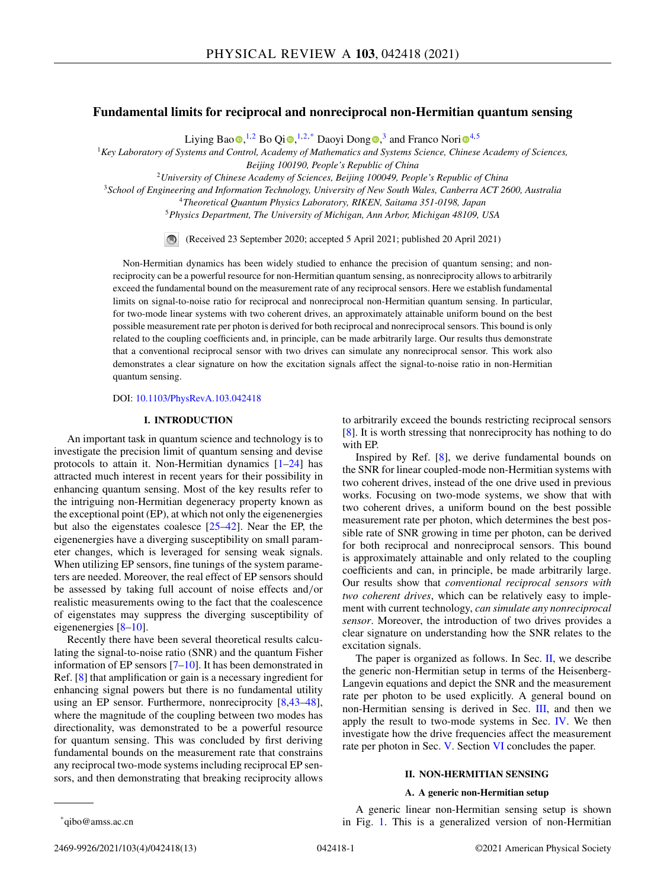# **Fundamental limits for reciprocal and nonreciprocal non-Hermitian quantum sensing**

L[i](https://orcid.org/0000-0003-3682-7432)yin[g](https://orcid.org/0000-0002-7425-3559) Bao $\text{D},^{1,2}$  $\text{D},^{1,2}$  $\text{D},^{1,2}$  Bo Qi $\text{D},^{1,2,*}$  Daoyi Dong $\text{D},^3$  and Franco Nori $\text{D}^{4,5}$ 

<sup>1</sup>*Key Laboratory of Systems and Control, Academy of Mathematics and Systems Science, Chinese Academy of Sciences,*

*Beijing 100190, People's Republic of China*

<sup>2</sup>*University of Chinese Academy of Sciences, Beijing 100049, People's Republic of China*

<sup>3</sup>*School of Engineering and Information Technology, University of New South Wales, Canberra ACT 2600, Australia*

<sup>4</sup>*Theoretical Quantum Physics Laboratory, RIKEN, Saitama 351-0198, Japan*

<sup>5</sup>*Physics Department, The University of Michigan, Ann Arbor, Michigan 48109, USA*

(Received 23 September 2020; accepted 5 April 2021; published 20 April 2021)

Non-Hermitian dynamics has been widely studied to enhance the precision of quantum sensing; and nonreciprocity can be a powerful resource for non-Hermitian quantum sensing, as nonreciprocity allows to arbitrarily exceed the fundamental bound on the measurement rate of any reciprocal sensors. Here we establish fundamental limits on signal-to-noise ratio for reciprocal and nonreciprocal non-Hermitian quantum sensing. In particular, for two-mode linear systems with two coherent drives, an approximately attainable uniform bound on the best possible measurement rate per photon is derived for both reciprocal and nonreciprocal sensors. This bound is only related to the coupling coefficients and, in principle, can be made arbitrarily large. Our results thus demonstrate that a conventional reciprocal sensor with two drives can simulate any nonreciprocal sensor. This work also demonstrates a clear signature on how the excitation signals affect the signal-to-noise ratio in non-Hermitian quantum sensing.

## DOI: [10.1103/PhysRevA.103.042418](https://doi.org/10.1103/PhysRevA.103.042418)

# **I. INTRODUCTION**

An important task in quantum science and technology is to investigate the precision limit of quantum sensing and devise protocols to attain it. Non-Hermitian dynamics  $[1-24]$  $[1-24]$  has attracted much interest in recent years for their possibility in enhancing quantum sensing. Most of the key results refer to the intriguing non-Hermitian degeneracy property known as the exceptional point (EP), at which not only the eigenenergies but also the eigenstates coalesce [\[25–42\]](#page-12-0). Near the EP, the eigenenergies have a diverging susceptibility on small parameter changes, which is leveraged for sensing weak signals. When utilizing EP sensors, fine tunings of the system parameters are needed. Moreover, the real effect of EP sensors should be assessed by taking full account of noise effects and/or realistic measurements owing to the fact that the coalescence of eigenstates may suppress the diverging susceptibility of eigenenergies [\[8–10\]](#page-11-0).

Recently there have been several theoretical results calculating the signal-to-noise ratio (SNR) and the quantum Fisher information of EP sensors [\[7–10\]](#page-11-0). It has been demonstrated in Ref. [\[8\]](#page-11-0) that amplification or gain is a necessary ingredient for enhancing signal powers but there is no fundamental utility using an EP sensor. Furthermore, nonreciprocity [\[8,](#page-11-0)[43–48\]](#page-12-0), where the magnitude of the coupling between two modes has directionality, was demonstrated to be a powerful resource for quantum sensing. This was concluded by first deriving fundamental bounds on the measurement rate that constrains any reciprocal two-mode systems including reciprocal EP sensors, and then demonstrating that breaking reciprocity allows

to arbitrarily exceed the bounds restricting reciprocal sensors [\[8\]](#page-11-0). It is worth stressing that nonreciprocity has nothing to do with EP.

Inspired by Ref. [\[8\]](#page-11-0), we derive fundamental bounds on the SNR for linear coupled-mode non-Hermitian systems with two coherent drives, instead of the one drive used in previous works. Focusing on two-mode systems, we show that with two coherent drives, a uniform bound on the best possible measurement rate per photon, which determines the best possible rate of SNR growing in time per photon, can be derived for both reciprocal and nonreciprocal sensors. This bound is approximately attainable and only related to the coupling coefficients and can, in principle, be made arbitrarily large. Our results show that *conventional reciprocal sensors with two coherent drives*, which can be relatively easy to implement with current technology, *can simulate any nonreciprocal sensor*. Moreover, the introduction of two drives provides a clear signature on understanding how the SNR relates to the excitation signals.

The paper is organized as follows. In Sec. II, we describe the generic non-Hermitian setup in terms of the Heisenberg-Langevin equations and depict the SNR and the measurement rate per photon to be used explicitly. A general bound on non-Hermitian sensing is derived in Sec. [III,](#page-2-0) and then we apply the result to two-mode systems in Sec. [IV.](#page-3-0) We then investigate how the drive frequencies affect the measurement rate per photon in Sec. [V.](#page-5-0) Section [VI](#page-5-0) concludes the paper.

## **II. NON-HERMITIAN SENSING**

### **A. A generic non-Hermitian setup**

A generic linear non-Hermitian sensing setup is shown in Fig. [1.](#page-1-0) This is a generalized version of non-Hermitian

<sup>\*</sup>qibo@amss.ac.cn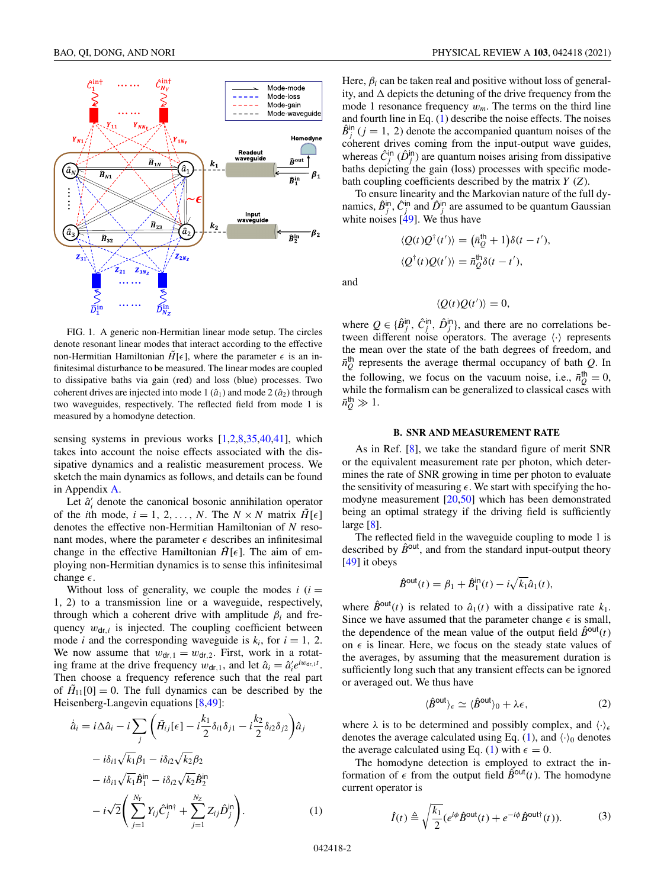<span id="page-1-0"></span>

FIG. 1. A generic non-Hermitian linear mode setup. The circles denote resonant linear modes that interact according to the effective non-Hermitian Hamiltonian  $\tilde{H}[\epsilon]$ , where the parameter  $\epsilon$  is an infinitesimal disturbance to be measured. The linear modes are coupled to dissipative baths via gain (red) and loss (blue) processes. Two coherent drives are injected into mode 1  $(\hat{a}_1)$  and mode 2  $(\hat{a}_2)$  through two waveguides, respectively. The reflected field from mode 1 is measured by a homodyne detection.

sensing systems in previous works [\[1,2,8,](#page-11-0)[35,40,41\]](#page-12-0), which takes into account the noise effects associated with the dissipative dynamics and a realistic measurement process. We sketch the main dynamics as follows, and details can be found in Appendix [A.](#page-6-0)

Let  $\hat{a}'_i$  denote the canonical bosonic annihilation operator of the *i*th mode,  $i = 1, 2, ..., N$ . The  $N \times N$  matrix  $\tilde{H}[\epsilon]$ denotes the effective non-Hermitian Hamiltonian of *N* resonant modes, where the parameter  $\epsilon$  describes an infinitesimal change in the effective Hamiltonian  $\tilde{H}[\epsilon]$ . The aim of employing non-Hermitian dynamics is to sense this infinitesimal change  $\epsilon$ .

Without loss of generality, we couple the modes  $i$  ( $i =$ 1, 2) to a transmission line or a waveguide, respectively, through which a coherent drive with amplitude  $\beta_i$  and frequency  $w_{\text{dr},i}$  is injected. The coupling coefficient between mode *i* and the corresponding waveguide is  $k_i$ , for  $i = 1, 2$ . We now assume that  $w_{dr,1} = w_{dr,2}$ . First, work in a rotating frame at the drive frequency  $w_{dr,1}$ , and let  $\hat{a}_i = \hat{a}'_i e^{iw_{dr,1}t}$ . Then choose a frequency reference such that the real part of  $H_{11}[0] = 0$ . The full dynamics can be described by the Heisenberg-Langevin equations [\[8](#page-11-0)[,49\]](#page-12-0):

$$
\dot{a}_i = i\Delta \hat{a}_i - i \sum_j \left( \tilde{H}_{ij}[\epsilon] - i \frac{k_1}{2} \delta_{i1} \delta_{j1} - i \frac{k_2}{2} \delta_{i2} \delta_{j2} \right) \hat{a}_j \n- i \delta_{i1} \sqrt{k_1} \beta_1 - i \delta_{i2} \sqrt{k_2} \beta_2 \n- i \delta_{i1} \sqrt{k_1} \hat{B}_1^{\text{in}} - i \delta_{i2} \sqrt{k_2} \hat{B}_2^{\text{in}} \n- i \sqrt{2} \left( \sum_{j=1}^{N_Y} Y_{ij} \hat{C}_j^{\text{in} \dagger} + \sum_{j=1}^{N_Z} Z_{ij} \hat{D}_j^{\text{in}} \right).
$$
\n(1)

Here,  $\beta_i$  can be taken real and positive without loss of generality, and  $\Delta$  depicts the detuning of the drive frequency from the mode 1 resonance frequency  $w_m$ . The terms on the third line and fourth line in Eq. (1) describe the noise effects. The noises  $\hat{B}^{\text{in}}_j$  (*j* = 1, 2) denote the accompanied quantum noises of the coherent drives coming from the input-output wave guides, whereas  $\hat{C}^{\text{in}}_j$  ( $\hat{D}^{\text{in}}_j$ ) are quantum noises arising from dissipative baths depicting the gain (loss) processes with specific modebath coupling coefficients described by the matrix *Y* (*Z*).

To ensure linearity and the Markovian nature of the full dynamics,  $\hat{B}_j^{\text{in}}$ ,  $\hat{C}_j^{\text{in}}$  and  $\hat{D}_j^{\text{in}}$  are assumed to be quantum Gaussian white noises  $[49]$ . We thus have

$$
\langle Q(t)Q^{\dagger}(t')\rangle = (\bar{n}_Q^{\dagger\dagger} + 1)\delta(t - t'),
$$
  

$$
\langle Q^{\dagger}(t)Q(t')\rangle = \bar{n}_Q^{\dagger\dagger}\delta(t - t'),
$$

and

$$
\langle Q(t)Q(t')\rangle = 0,
$$

where  $Q \in {\{\hat{B}^{\text{in}}_j, \hat{C}^{\text{in}}_j, \hat{D}^{\text{in}}_j\}}$ , and there are no correlations between different noise operators. The average  $\langle \cdot \rangle$  represents the mean over the state of the bath degrees of freedom, and  $\bar{n}_Q^{\text{th}}$  represents the average thermal occupancy of bath *Q*. In the following, we focus on the vacuum noise, i.e.,  $\bar{n}_Q^{\text{th}} = 0$ , while the formalism can be generalized to classical cases with  $\bar{n}_Q^{\text{th}} \gg 1$ .

#### **B. SNR AND MEASUREMENT RATE**

As in Ref. [\[8\]](#page-11-0), we take the standard figure of merit SNR or the equivalent measurement rate per photon, which determines the rate of SNR growing in time per photon to evaluate the sensitivity of measuring  $\epsilon$ . We start with specifying the homodyne measurement [\[20](#page-11-0)[,50\]](#page-12-0) which has been demonstrated being an optimal strategy if the driving field is sufficiently large [\[8\]](#page-11-0).

The reflected field in the waveguide coupling to mode 1 is described by  $\hat{B}^{out}$ , and from the standard input-output theory [\[49\]](#page-12-0) it obeys

$$
\hat{B}^{\text{out}}(t) = \beta_1 + \hat{B}_1^{\text{in}}(t) - i\sqrt{k_1}\hat{a}_1(t),
$$

where  $\hat{B}^{out}(t)$  is related to  $\hat{a}_1(t)$  with a dissipative rate  $k_1$ . Since we have assumed that the parameter change  $\epsilon$  is small, the dependence of the mean value of the output field  $\hat{B}^{\text{out}}(t)$ on  $\epsilon$  is linear. Here, we focus on the steady state values of the averages, by assuming that the measurement duration is sufficiently long such that any transient effects can be ignored or averaged out. We thus have

$$
\langle \hat{B}^{\text{out}} \rangle_{\epsilon} \simeq \langle \hat{B}^{\text{out}} \rangle_0 + \lambda \epsilon, \tag{2}
$$

where  $\lambda$  is to be determined and possibly complex, and  $\langle \cdot \rangle_{\epsilon}$ denotes the average calculated using Eq. (1), and  $\langle \cdot \rangle_0$  denotes the average calculated using Eq. (1) with  $\epsilon = 0$ .

The homodyne detection is employed to extract the information of  $\epsilon$  from the output field  $\hat{B}^{\text{out}}(t)$ . The homodyne current operator is

$$
\hat{I}(t) \triangleq \sqrt{\frac{k_1}{2}} (e^{i\phi} \hat{B}^{\text{out}}(t) + e^{-i\phi} \hat{B}^{\text{out}\dagger}(t)).
$$
 (3)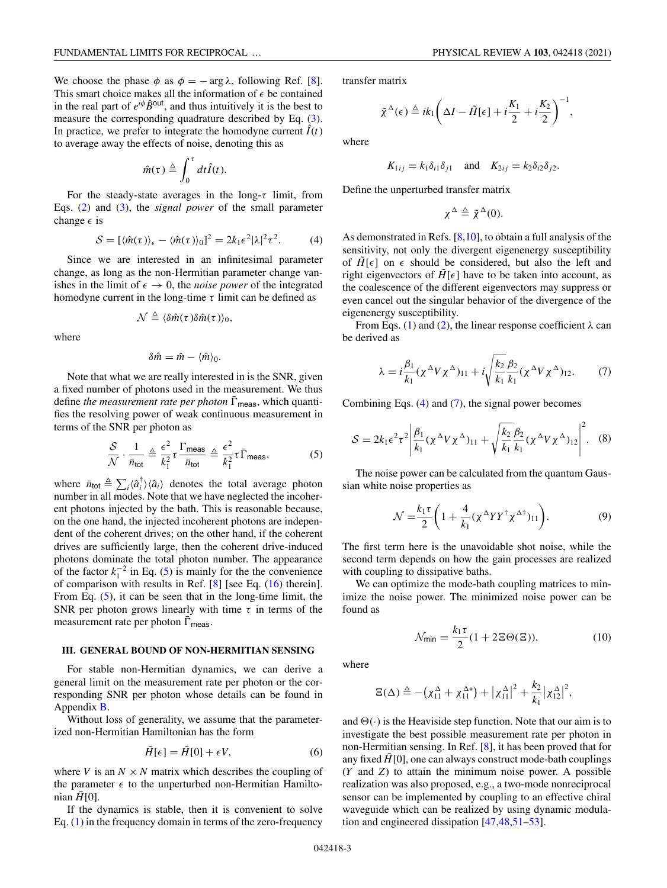<span id="page-2-0"></span>We choose the phase  $\phi$  as  $\phi = -\arg \lambda$ , following Ref. [\[8\]](#page-11-0). This smart choice makes all the information of  $\epsilon$  be contained in the real part of  $e^{i\phi}$  $\hat{B}^{out}$ , and thus intuitively it is the best to measure the corresponding quadrature described by Eq. [\(3\)](#page-1-0). In practice, we prefer to integrate the homodyne current  $\hat{I}(t)$ to average away the effects of noise, denoting this as

$$
\hat{m}(\tau) \triangleq \int_0^{\tau} dt \hat{I}(t).
$$

For the steady-state averages in the long- $\tau$  limit, from Eqs. [\(2\)](#page-1-0) and [\(3\)](#page-1-0), the *signal power* of the small parameter change  $\epsilon$  is

$$
S = [\langle \hat{m}(\tau) \rangle_{\epsilon} - \langle \hat{m}(\tau) \rangle_0]^2 = 2k_1 \epsilon^2 |\lambda|^2 \tau^2.
$$
 (4)

Since we are interested in an infinitesimal parameter change, as long as the non-Hermitian parameter change vanishes in the limit of  $\epsilon \to 0$ , the *noise power* of the integrated homodyne current in the long-time  $\tau$  limit can be defined as

$$
\mathcal{N} \triangleq \langle \delta \hat{m}(\tau) \delta \hat{m}(\tau) \rangle_0,
$$

where

$$
\delta \hat{m} = \hat{m} - \langle \hat{m} \rangle_0.
$$

Note that what we are really interested in is the SNR, given a fixed number of photons used in the measurement. We thus define *the measurement rate per photon*  $\Gamma_{\text{meas}}$ , which quantifies the resolving power of weak continuous measurement in terms of the SNR per photon as

$$
\frac{\mathcal{S}}{\mathcal{N}} \cdot \frac{1}{\bar{n}_{\text{tot}}} \triangleq \frac{\epsilon^2}{k_1^2} \tau \frac{\Gamma_{\text{meas}}}{\bar{n}_{\text{tot}}} \triangleq \frac{\epsilon^2}{k_1^2} \tau \bar{\Gamma}_{\text{meas}},\tag{5}
$$

where  $\bar{n}_{\text{tot}} \triangleq \sum_{i} \langle \hat{a}_{i}^{\dagger} \rangle \langle \hat{a}_{i} \rangle$  denotes the total average photon number in all modes. Note that we have neglected the incoherent photons injected by the bath. This is reasonable because, on the one hand, the injected incoherent photons are independent of the coherent drives; on the other hand, if the coherent drives are sufficiently large, then the coherent drive-induced photons dominate the total photon number. The appearance of the factor  $k_1^{-2}$  in Eq. (5) is mainly for the the convenience of comparison with results in Ref. [\[8\]](#page-11-0) [see Eq. [\(16\)](#page-3-0) therein]. From Eq. (5), it can be seen that in the long-time limit, the SNR per photon grows linearly with time  $\tau$  in terms of the measurement rate per photon  $\bar{\Gamma}_{\text{meas}}$ .

## **III. GENERAL BOUND OF NON-HERMITIAN SENSING**

For stable non-Hermitian dynamics, we can derive a general limit on the measurement rate per photon or the corresponding SNR per photon whose details can be found in Appendix [B.](#page-7-0)

Without loss of generality, we assume that the parameterized non-Hermitian Hamiltonian has the form

$$
\tilde{H}[\epsilon] = \tilde{H}[0] + \epsilon V,\tag{6}
$$

where *V* is an  $N \times N$  matrix which describes the coupling of the parameter  $\epsilon$  to the unperturbed non-Hermitian Hamiltonian  $\tilde{H}[0]$ .

If the dynamics is stable, then it is convenient to solve Eq. [\(1\)](#page-1-0) in the frequency domain in terms of the zero-frequency

transfer matrix

 $\tilde{\chi}$ 

$$
\Delta(\epsilon) \triangleq ik_1 \bigg( \Delta I - \tilde{H}[\epsilon] + i \frac{K_1}{2} + i \frac{K_2}{2} \bigg)^{-1},
$$

where

$$
K_{1ij} = k_1 \delta_{i1} \delta_{j1} \quad \text{and} \quad K_{2ij} = k_2 \delta_{i2} \delta_{j2}.
$$

Define the unperturbed transfer matrix

$$
\chi^{\Delta} \triangleq \tilde{\chi}^{\Delta}(0).
$$

As demonstrated in Refs. [\[8,10\]](#page-11-0), to obtain a full analysis of the sensitivity, not only the divergent eigenenergy susceptibility of  $\tilde{H}[\epsilon]$  on  $\epsilon$  should be considered, but also the left and right eigenvectors of  $\tilde{H}[\epsilon]$  have to be taken into account, as the coalescence of the different eigenvectors may suppress or even cancel out the singular behavior of the divergence of the eigenenergy susceptibility.

From Eqs. [\(1\)](#page-1-0) and [\(2\)](#page-1-0), the linear response coefficient  $\lambda$  can be derived as

$$
\lambda = i \frac{\beta_1}{k_1} (\chi^{\Delta} V \chi^{\Delta})_{11} + i \sqrt{\frac{k_2}{k_1}} \frac{\beta_2}{k_1} (\chi^{\Delta} V \chi^{\Delta})_{12}.
$$
 (7)

Combining Eqs. (4) and (7), the signal power becomes

$$
S = 2k_1 \epsilon^2 \tau^2 \left| \frac{\beta_1}{k_1} (\chi^\Delta V \chi^\Delta)_{11} + \sqrt{\frac{k_2}{k_1}} \frac{\beta_2}{k_1} (\chi^\Delta V \chi^\Delta)_{12} \right|^2.
$$
 (8)

The noise power can be calculated from the quantum Gaussian white noise properties as

$$
\mathcal{N} = \frac{k_1 \tau}{2} \left( 1 + \frac{4}{k_1} (\chi^\Delta Y Y^\dagger \chi^{\Delta \dagger})_{11} \right). \tag{9}
$$

The first term here is the unavoidable shot noise, while the second term depends on how the gain processes are realized with coupling to dissipative baths.

We can optimize the mode-bath coupling matrices to minimize the noise power. The minimized noise power can be found as

$$
\mathcal{N}_{\text{min}} = \frac{k_1 \tau}{2} (1 + 2 \Xi \Theta(\Xi)),\tag{10}
$$

where

$$
\Xi(\Delta) \triangleq -(\chi_{11}^{\Delta}+\chi_{11}^{\Delta*})+\left|\chi_{11}^{\Delta}\right|^{2}+\frac{k_{2}}{k_{1}}\left|\chi_{12}^{\Delta}\right|^{2},
$$

and  $\Theta(\cdot)$  is the Heaviside step function. Note that our aim is to investigate the best possible measurement rate per photon in non-Hermitian sensing. In Ref. [\[8\]](#page-11-0), it has been proved that for any fixed  $\tilde{H}[0]$ , one can always construct mode-bath couplings (*Y* and *Z*) to attain the minimum noise power. A possible realization was also proposed, e.g., a two-mode nonreciprocal sensor can be implemented by coupling to an effective chiral waveguide which can be realized by using dynamic modulation and engineered dissipation [\[47,48,51–53\]](#page-12-0).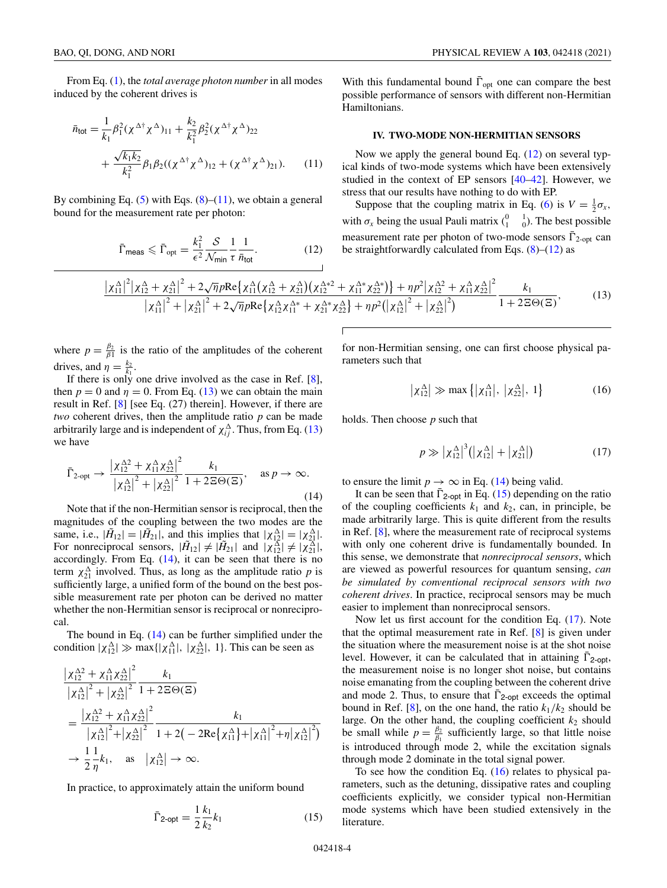<span id="page-3-0"></span>From Eq. [\(1\)](#page-1-0), the *total average photon number* in all modes induced by the coherent drives is

$$
\bar{n}_{\text{tot}} = \frac{1}{k_1} \beta_1^2 (\chi^{\Delta \dagger} \chi^{\Delta})_{11} + \frac{k_2}{k_1^2} \beta_2^2 (\chi^{\Delta \dagger} \chi^{\Delta})_{22} \n+ \frac{\sqrt{k_1 k_2}}{k_1^2} \beta_1 \beta_2 ((\chi^{\Delta \dagger} \chi^{\Delta})_{12} + (\chi^{\Delta \dagger} \chi^{\Delta})_{21}).
$$
\n(11)

By combining Eq.  $(5)$  with Eqs.  $(8)$ – $(11)$ , we obtain a general bound for the measurement rate per photon:

$$
\bar{\Gamma}_{\text{meas}} \leqslant \bar{\Gamma}_{\text{opt}} = \frac{k_1^2}{\epsilon^2} \frac{\mathcal{S}}{\mathcal{N}_{\text{min}}} \frac{1}{\tau} \frac{1}{\bar{n}_{\text{tot}}}.
$$
 (12)

With this fundamental bound  $\overline{\Gamma}_{opt}$  one can compare the best possible performance of sensors with different non-Hermitian Hamiltonians.

#### **IV. TWO-MODE NON-HERMITIAN SENSORS**

Now we apply the general bound Eq.  $(12)$  on several typical kinds of two-mode systems which have been extensively studied in the context of EP sensors [\[40–42\]](#page-12-0). However, we stress that our results have nothing to do with EP.

Suppose that the coupling matrix in Eq. [\(6\)](#page-2-0) is  $V = \frac{1}{2}\sigma_x$ , with  $\sigma_x$  being the usual Pauli matrix  $\begin{pmatrix} 0 & 1 \\ 1 & 0 \end{pmatrix}$ . The best possible measurement rate per photon of two-mode sensors  $\overline{\Gamma}_{2\text{-opt}}$  can be straightforwardly calculated from Eqs.  $(8)$ – $(12)$  as

$$
\frac{\left|\chi_{11}^{\Delta}\right|^{2}\left|\chi_{12}^{\Delta}+\chi_{21}^{\Delta}\right|^{2}+2\sqrt{\eta}p\text{Re}\left\{\chi_{11}^{\Delta}\left(\chi_{12}^{\Delta}+\chi_{21}^{\Delta}\right)\left(\chi_{12}^{\Delta*2}+\chi_{11}^{\Delta*}\chi_{22}^{\Delta*}\right)\right\}+np^{2}\left|\chi_{12}^{\Delta^{2}}+\chi_{11}^{\Delta}\chi_{22}^{\Delta}\right|^{2}}{\left|\chi_{11}^{\Delta}\right|^{2}+\left|\chi_{21}^{\Delta}\right|^{2}+2\sqrt{\eta}p\text{Re}\left\{\chi_{12}^{\Delta}\chi_{11}^{\Delta*}+\chi_{21}^{\Delta*}\chi_{22}^{\Delta}\right\}+np^{2}\left(\left|\chi_{12}^{\Delta}\right|^{2}+\left|\chi_{22}^{\Delta}\right|^{2}\right)}\frac{k_{1}}{1+2\Xi\Theta(\Xi)},
$$
\n(13)

where  $p = \frac{\beta_2}{\beta_1}$  is the ratio of the amplitudes of the coherent drives, and  $\eta = \frac{k_2}{k_1}$ .

If there is only one drive involved as the case in Ref.  $[8]$ , then  $p = 0$  and  $\eta = 0$ . From Eq. (13) we can obtain the main result in Ref. [\[8\]](#page-11-0) [see Eq. (27) therein]. However, if there are *two* coherent drives, then the amplitude ratio *p* can be made arbitrarily large and is independent of  $\chi_{ij}^{\Delta}$ . Thus, from Eq. (13) we have

$$
\bar{\Gamma}_{2\text{-opt}} \to \frac{\left|\chi_{12}^{\Delta 2} + \chi_{11}^{\Delta}\chi_{22}^{\Delta}\right|^{2}}{\left|\chi_{12}^{\Delta}\right|^{2} + \left|\chi_{22}^{\Delta}\right|^{2}} \frac{k_{1}}{1 + 2\Xi\Theta(\Xi)}, \quad \text{as } p \to \infty.
$$
\n(14)

Note that if the non-Hermitian sensor is reciprocal, then the magnitudes of the coupling between the two modes are the same, i.e.,  $|\tilde{H}_{12}| = |\tilde{H}_{21}|$ , and this implies that  $|\chi_{12}^{\Delta}| = |\chi_{21}^{\Delta}|$ . For nonreciprocal sensors,  $|\tilde{H}_{12}| \neq |\tilde{H}_{21}|$  and  $|\chi_{12}^{\Delta}| \neq |\chi_{21}^{\Delta}|$ , accordingly. From Eq.  $(14)$ , it can be seen that there is no term  $\chi_{21}^{\Delta}$  involved. Thus, as long as the amplitude ratio *p* is sufficiently large, a unified form of the bound on the best possible measurement rate per photon can be derived no matter whether the non-Hermitian sensor is reciprocal or nonreciprocal.

The bound in Eq. (14) can be further simplified under the condition  $|\chi_{12}^{\Delta}| \gg \max\{|\chi_{11}^{\Delta}|, |\chi_{22}^{\Delta}|, 1\}$ . This can be seen as

$$
\frac{|\chi_{12}^{\Delta 2} + \chi_{11}^{\Delta} \chi_{22}^{\Delta}|^2}{|\chi_{12}^{\Delta}|^2 + |\chi_{22}^{\Delta}|^2} \frac{k_1}{1 + 2\Xi\Theta(\Xi)}
$$
\n  
\n
$$
= \frac{|\chi_{12}^{\Delta 2} + \chi_{11}^{\Delta} \chi_{22}^{\Delta}|^2}{|\chi_{12}^{\Delta}|^2 + |\chi_{22}^{\Delta}|^2} \frac{k_1}{1 + 2(-2\text{Re}\{\chi_{11}^{\Delta}\} + |\chi_{11}^{\Delta}|^2 + \eta |\chi_{12}^{\Delta}|^2)}
$$
\n  
\n
$$
\to \frac{1}{2} \frac{1}{\eta} k_1, \text{ as } |\chi_{12}^{\Delta}| \to \infty.
$$

In practice, to approximately attain the uniform bound

$$
\bar{\Gamma}_{2\text{-opt}} = \frac{1}{2} \frac{k_1}{k_2} k_1 \tag{15}
$$

for non-Hermitian sensing, one can first choose physical parameters such that

$$
|\chi_{12}^{\Delta}| \gg \max\left\{ |\chi_{11}^{\Delta}|, |\chi_{22}^{\Delta}|, 1 \right\} \tag{16}
$$

holds. Then choose *p* such that

$$
p \gg |\chi_{12}^{\Delta}|^3 (|\chi_{12}^{\Delta}| + |\chi_{21}^{\Delta}|) \tag{17}
$$

to ensure the limit  $p \to \infty$  in Eq. (14) being valid.

It can be seen that  $\bar{\Gamma}_{2\text{-opt}}$  in Eq. (15) depending on the ratio of the coupling coefficients  $k_1$  and  $k_2$ , can, in principle, be made arbitrarily large. This is quite different from the results in Ref. [\[8\]](#page-11-0), where the measurement rate of reciprocal systems with only one coherent drive is fundamentally bounded. In this sense, we demonstrate that *nonreciprocal sensors*, which are viewed as powerful resources for quantum sensing, *can be simulated by conventional reciprocal sensors with two coherent drives*. In practice, reciprocal sensors may be much easier to implement than nonreciprocal sensors.

Now let us first account for the condition Eq. (17). Note that the optimal measurement rate in Ref. [\[8\]](#page-11-0) is given under the situation where the measurement noise is at the shot noise level. However, it can be calculated that in attaining  $\bar{\Gamma}_{2\text{-}oot}$ , the measurement noise is no longer shot noise, but contains noise emanating from the coupling between the coherent drive and mode 2. Thus, to ensure that  $\bar{\Gamma}_{2\text{-opt}}$  exceeds the optimal bound in Ref. [\[8\]](#page-11-0), on the one hand, the ratio  $k_1/k_2$  should be large. On the other hand, the coupling coefficient  $k_2$  should be small while  $p = \frac{\beta_2}{\beta_1}$  sufficiently large, so that little noise is introduced through mode 2, while the excitation signals through mode 2 dominate in the total signal power.

To see how the condition Eq.  $(16)$  relates to physical parameters, such as the detuning, dissipative rates and coupling coefficients explicitly, we consider typical non-Hermitian mode systems which have been studied extensively in the literature.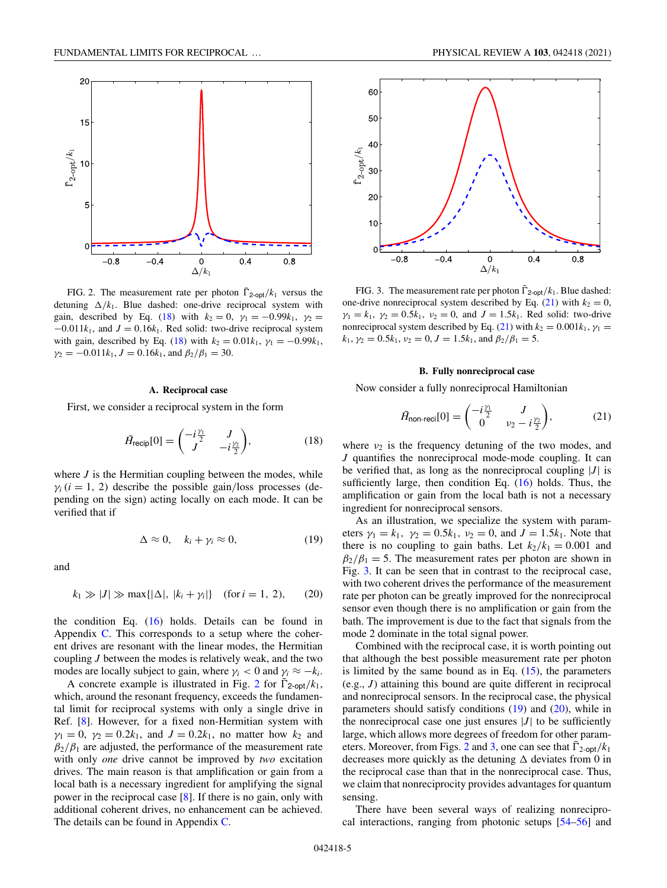

FIG. 2. The measurement rate per photon  $\overline{\Gamma}_{2\text{-opt}}/k_1$  versus the detuning  $\Delta/k_1$ . Blue dashed: one-drive reciprocal system with gain, described by Eq. (18) with  $k_2 = 0$ ,  $\gamma_1 = -0.99k_1$ ,  $\gamma_2 =$  $-0.011k_1$ , and  $J = 0.16k_1$ . Red solid: two-drive reciprocal system with gain, described by Eq. (18) with  $k_2 = 0.01k_1$ ,  $\gamma_1 = -0.99k_1$ ,  $\gamma_2 = -0.011k_1$ ,  $J = 0.16k_1$ , and  $\beta_2/\beta_1 = 30$ .

# **A. Reciprocal case**

First, we consider a reciprocal system in the form

$$
\tilde{H}_{\text{recip}}[0] = \begin{pmatrix} -i\frac{\gamma_1}{2} & J \\ J & -i\frac{\gamma_2}{2} \end{pmatrix},\tag{18}
$$

where  $J$  is the Hermitian coupling between the modes, while  $\gamma_i$  (*i* = 1, 2) describe the possible gain/loss processes (depending on the sign) acting locally on each mode. It can be verified that if

$$
\Delta \approx 0, \quad k_i + \gamma_i \approx 0, \tag{19}
$$

and

$$
k_1 \gg |J| \gg \max\{|\Delta|, |k_i + \gamma_i|\} \quad \text{(for } i = 1, 2), \tag{20}
$$

the condition Eq.  $(16)$  holds. Details can be found in Appendix [C.](#page-8-0) This corresponds to a setup where the coherent drives are resonant with the linear modes, the Hermitian coupling *J* between the modes is relatively weak, and the two modes are locally subject to gain, where  $\gamma_i < 0$  and  $\gamma_i \approx -k_i$ .

A concrete example is illustrated in Fig. 2 for  $\Gamma_{2\text{-opt}}/k_1$ , which, around the resonant frequency, exceeds the fundamental limit for reciprocal systems with only a single drive in Ref. [\[8\]](#page-11-0). However, for a fixed non-Hermitian system with  $\gamma_1 = 0$ ,  $\gamma_2 = 0.2k_1$ , and  $J = 0.2k_1$ , no matter how  $k_2$  and  $\beta_2/\beta_1$  are adjusted, the performance of the measurement rate with only *one* drive cannot be improved by *two* excitation drives. The main reason is that amplification or gain from a local bath is a necessary ingredient for amplifying the signal power in the reciprocal case [\[8\]](#page-11-0). If there is no gain, only with additional coherent drives, no enhancement can be achieved. The details can be found in Appendix [C.](#page-8-0)



FIG. 3. The measurement rate per photon  $\overline{\Gamma}_{2\text{-opt}}/k_1$ . Blue dashed: one-drive nonreciprocal system described by Eq.  $(21)$  with  $k_2 = 0$ ,  $\gamma_1 = k_1$ ,  $\gamma_2 = 0.5k_1$ ,  $\nu_2 = 0$ , and  $J = 1.5k_1$ . Red solid: two-drive nonreciprocal system described by Eq. (21) with  $k_2 = 0.001k_1$ ,  $\gamma_1 =$  $k_1$ ,  $\gamma_2 = 0.5k_1$ ,  $\nu_2 = 0$ ,  $J = 1.5k_1$ , and  $\beta_2/\beta_1 = 5$ .

### **B. Fully nonreciprocal case**

Now consider a fully nonreciprocal Hamiltonian

$$
\tilde{H}_{\text{non-reci}}[0] = \begin{pmatrix} -i\frac{\gamma_1}{2} & J \\ 0 & \nu_2 - i\frac{\gamma_2}{2} \end{pmatrix},\tag{21}
$$

where  $v_2$  is the frequency detuning of the two modes, and *J* quantifies the nonreciprocal mode-mode coupling. It can be verified that, as long as the nonreciprocal coupling  $|J|$  is sufficiently large, then condition Eq. [\(16\)](#page-3-0) holds. Thus, the amplification or gain from the local bath is not a necessary ingredient for nonreciprocal sensors.

As an illustration, we specialize the system with parameters  $\gamma_1 = k_1$ ,  $\gamma_2 = 0.5k_1$ ,  $\nu_2 = 0$ , and  $J = 1.5k_1$ . Note that there is no coupling to gain baths. Let  $k_2/k_1 = 0.001$  and  $\beta_2/\beta_1 = 5$ . The measurement rates per photon are shown in Fig. 3. It can be seen that in contrast to the reciprocal case, with two coherent drives the performance of the measurement rate per photon can be greatly improved for the nonreciprocal sensor even though there is no amplification or gain from the bath. The improvement is due to the fact that signals from the mode 2 dominate in the total signal power.

Combined with the reciprocal case, it is worth pointing out that although the best possible measurement rate per photon is limited by the same bound as in Eq.  $(15)$ , the parameters (e.g., *J*) attaining this bound are quite different in reciprocal and nonreciprocal sensors. In the reciprocal case, the physical parameters should satisfy conditions  $(19)$  and  $(20)$ , while in the nonreciprocal case one just ensures  $|J|$  to be sufficiently large, which allows more degrees of freedom for other parameters. Moreover, from Figs. 2 and 3, one can see that  $\overline{\Gamma}_{2\text{-opt}}/k_1$ decreases more quickly as the detuning  $\Delta$  deviates from 0 in the reciprocal case than that in the nonreciprocal case. Thus, we claim that nonreciprocity provides advantages for quantum sensing.

There have been several ways of realizing nonreciprocal interactions, ranging from photonic setups [\[54–56\]](#page-12-0) and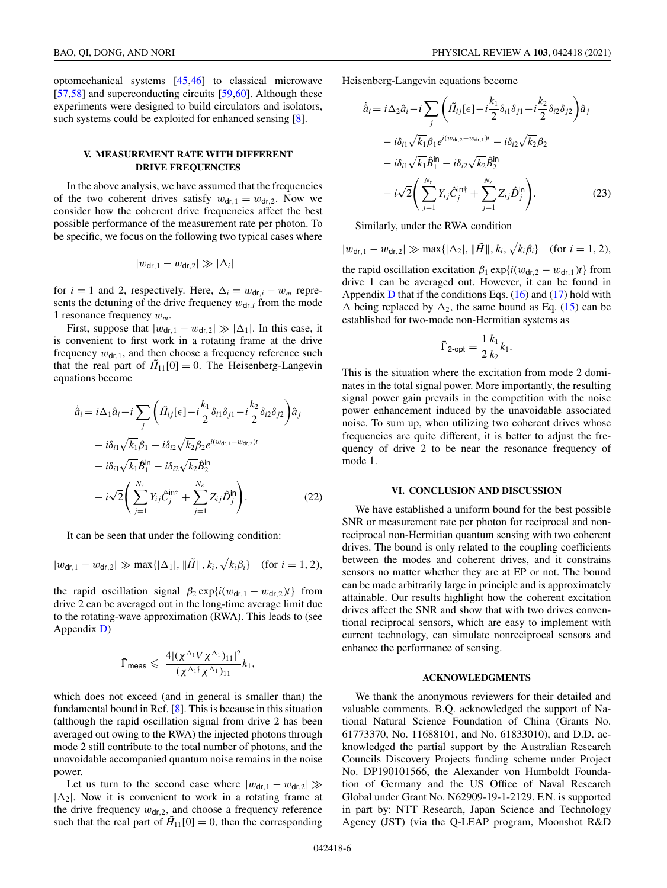<span id="page-5-0"></span>optomechanical systems [\[45,46\]](#page-12-0) to classical microwave [\[57,58\]](#page-12-0) and superconducting circuits [\[59,60\]](#page-12-0). Although these experiments were designed to build circulators and isolators, such systems could be exploited for enhanced sensing [\[8\]](#page-11-0).

# **V. MEASUREMENT RATE WITH DIFFERENT DRIVE FREQUENCIES**

In the above analysis, we have assumed that the frequencies of the two coherent drives satisfy  $w_{dr,1} = w_{dr,2}$ . Now we consider how the coherent drive frequencies affect the best possible performance of the measurement rate per photon. To be specific, we focus on the following two typical cases where

$$
|w_{\text{dr},1}-w_{\text{dr},2}|\gg|\Delta_i|
$$

for  $i = 1$  and 2, respectively. Here,  $\Delta_i = w_{dr,i} - w_m$  represents the detuning of the drive frequency  $w_{dr,i}$  from the mode 1 resonance frequency *wm*.

First, suppose that  $|w_{dr,1} - w_{dr,2}| \gg |\Delta_1|$ . In this case, it is convenient to first work in a rotating frame at the drive frequency  $w_{dr,1}$ , and then choose a frequency reference such that the real part of  $H_{11}[0] = 0$ . The Heisenberg-Langevin equations become

$$
\dot{\hat{a}}_i = i\Delta_1 \hat{a}_i - i \sum_j \left( \tilde{H}_{ij}[\epsilon] - i \frac{k_1}{2} \delta_{i1} \delta_{j1} - i \frac{k_2}{2} \delta_{i2} \delta_{j2} \right) \hat{a}_j
$$
  
\n
$$
- i\delta_{i1} \sqrt{k_1} \beta_1 - i\delta_{i2} \sqrt{k_2} \beta_2 e^{i(w_{\text{dr},1} - w_{\text{dr},2})t}
$$
  
\n
$$
- i\delta_{i1} \sqrt{k_1} \hat{B}_1^{\text{in}} - i\delta_{i2} \sqrt{k_2} \hat{B}_2^{\text{in}}
$$
  
\n
$$
- i\sqrt{2} \left( \sum_{j=1}^{N_Y} Y_{ij} \hat{C}_j^{\text{in}\dagger} + \sum_{j=1}^{N_Z} Z_{ij} \hat{D}_j^{\text{in}} \right). \tag{22}
$$

It can be seen that under the following condition:

$$
|w_{\mathsf{dr},1} - w_{\mathsf{dr},2}| \gg \max\{|\Delta_1|, \|\tilde{H}\|, k_i, \sqrt{k_i}\beta_i\} \quad \text{(for } i = 1, 2\text{),}
$$

the rapid oscillation signal  $\beta_2 \exp\{i(w_{\text{dr},1} - w_{\text{dr},2})t\}$  from drive 2 can be averaged out in the long-time average limit due to the rotating-wave approximation (RWA). This leads to (see Appendix [D\)](#page-9-0)

$$
\bar{\Gamma}_{\text{meas}} \leqslant \frac{4|(\chi^{\Delta_1}V\chi^{\Delta_1})_{11}|^2}{(\chi^{\Delta_1\dagger}\chi^{\Delta_1})_{11}}k_1,
$$

which does not exceed (and in general is smaller than) the fundamental bound in Ref. [\[8\]](#page-11-0). This is because in this situation (although the rapid oscillation signal from drive 2 has been averaged out owing to the RWA) the injected photons through mode 2 still contribute to the total number of photons, and the unavoidable accompanied quantum noise remains in the noise power.

Let us turn to the second case where  $|w_{dr,1} - w_{dr,2}| \gg$  $|\Delta_2|$ . Now it is convenient to work in a rotating frame at the drive frequency  $w_{\text{dr},2}$ , and choose a frequency reference such that the real part of  $\tilde{H}_{11}[0] = 0$ , then the corresponding

Heisenberg-Langevin equations become

$$
\dot{\hat{a}}_i = i\Delta_2 \hat{a}_i - i \sum_j \left( \tilde{H}_{ij}[\epsilon] - i \frac{k_1}{2} \delta_{i1} \delta_{j1} - i \frac{k_2}{2} \delta_{i2} \delta_{j2} \right) \hat{a}_j \n- i\delta_{i1} \sqrt{k_1} \beta_1 e^{i(w_{\text{dr},2} - w_{\text{dr},1})t} - i\delta_{i2} \sqrt{k_2} \beta_2 \n- i\delta_{i1} \sqrt{k_1} \hat{B}_1^{\text{in}} - i\delta_{i2} \sqrt{k_2} \hat{B}_2^{\text{in}} \n- i\sqrt{2} \left( \sum_{j=1}^{N_Y} Y_{ij} \hat{C}_j^{\text{in}\dagger} + \sum_{j=1}^{N_Z} Z_{ij} \hat{D}_j^{\text{in}} \right).
$$
\n(23)

Similarly, under the RWA condition

 $|w_{\text{dr},1} - w_{\text{dr},2}| \gg \max\{|\Delta_2|, \|\tilde{H}\|, k_i, \sqrt{k_i}\beta_i\}$  (for  $i = 1, 2$ ),

the rapid oscillation excitation  $\beta_1 \exp\{i(w_{\text{dr},2} - w_{\text{dr},1})t\}$  from drive 1 can be averaged out. However, it can be found in Appendix  $D$  that if the conditions Eqs. [\(16\)](#page-3-0) and [\(17\)](#page-3-0) hold with  $\Delta$  being replaced by  $\Delta_2$ , the same bound as Eq. [\(15\)](#page-3-0) can be established for two-mode non-Hermitian systems as

$$
\bar{\Gamma}_{2\text{-opt}} = \frac{1}{2} \frac{k_1}{k_2} k_1.
$$

This is the situation where the excitation from mode 2 dominates in the total signal power. More importantly, the resulting signal power gain prevails in the competition with the noise power enhancement induced by the unavoidable associated noise. To sum up, when utilizing two coherent drives whose frequencies are quite different, it is better to adjust the frequency of drive 2 to be near the resonance frequency of mode 1.

#### **VI. CONCLUSION AND DISCUSSION**

We have established a uniform bound for the best possible SNR or measurement rate per photon for reciprocal and nonreciprocal non-Hermitian quantum sensing with two coherent drives. The bound is only related to the coupling coefficients between the modes and coherent drives, and it constrains sensors no matter whether they are at EP or not. The bound can be made arbitrarily large in principle and is approximately attainable. Our results highlight how the coherent excitation drives affect the SNR and show that with two drives conventional reciprocal sensors, which are easy to implement with current technology, can simulate nonreciprocal sensors and enhance the performance of sensing.

#### **ACKNOWLEDGMENTS**

We thank the anonymous reviewers for their detailed and valuable comments. B.Q. acknowledged the support of National Natural Science Foundation of China (Grants No. 61773370, No. 11688101, and No. 61833010), and D.D. acknowledged the partial support by the Australian Research Councils Discovery Projects funding scheme under Project No. DP190101566, the Alexander von Humboldt Foundation of Germany and the US Office of Naval Research Global under Grant No. N62909-19-1-2129. F.N. is supported in part by: NTT Research, Japan Science and Technology Agency (JST) (via the Q-LEAP program, Moonshot R&D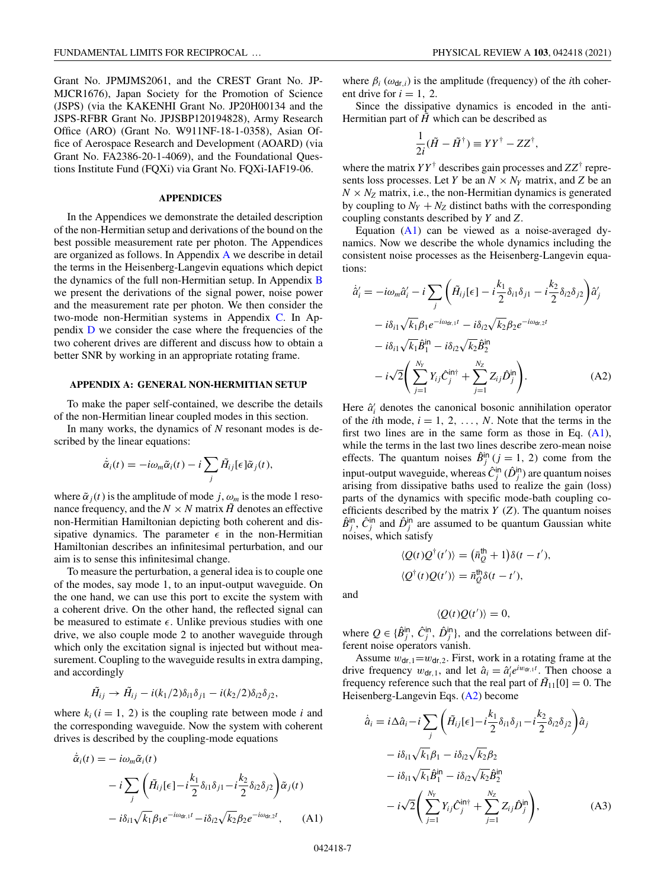<span id="page-6-0"></span>Grant No. JPMJMS2061, and the CREST Grant No. JP-MJCR1676), Japan Society for the Promotion of Science (JSPS) (via the KAKENHI Grant No. JP20H00134 and the JSPS-RFBR Grant No. JPJSBP120194828), Army Research Office (ARO) (Grant No. W911NF-18-1-0358), Asian Office of Aerospace Research and Development (AOARD) (via Grant No. FA2386-20-1-4069), and the Foundational Questions Institute Fund (FQXi) via Grant No. FQXi-IAF19-06.

### **APPENDICES**

In the Appendices we demonstrate the detailed description of the non-Hermitian setup and derivations of the bound on the best possible measurement rate per photon. The Appendices are organized as follows. In Appendix A we describe in detail the terms in the Heisenberg-Langevin equations which depict the dynamics of the full non-Hermitian setup. In Appendix [B](#page-7-0) we present the derivations of the signal power, noise power and the measurement rate per photon. We then consider the two-mode non-Hermitian systems in Appendix [C.](#page-8-0) In Appendix [D](#page-9-0) we consider the case where the frequencies of the two coherent drives are different and discuss how to obtain a better SNR by working in an appropriate rotating frame.

## **APPENDIX A: GENERAL NON-HERMITIAN SETUP**

To make the paper self-contained, we describe the details of the non-Hermitian linear coupled modes in this section.

In many works, the dynamics of *N* resonant modes is described by the linear equations:

$$
\dot{\tilde{\alpha}}_i(t) = -i\omega_m \tilde{\alpha}_i(t) - i \sum_j \tilde{H}_{ij}[\epsilon] \tilde{\alpha}_j(t),
$$

where  $\tilde{\alpha}_i(t)$  is the amplitude of mode *j*,  $\omega_m$  is the mode 1 resonance frequency, and the  $N \times N$  matrix  $\tilde{H}$  denotes an effective non-Hermitian Hamiltonian depicting both coherent and dissipative dynamics. The parameter  $\epsilon$  in the non-Hermitian Hamiltonian describes an infinitesimal perturbation, and our aim is to sense this infinitesimal change.

To measure the perturbation, a general idea is to couple one of the modes, say mode 1, to an input-output waveguide. On the one hand, we can use this port to excite the system with a coherent drive. On the other hand, the reflected signal can be measured to estimate  $\epsilon$ . Unlike previous studies with one drive, we also couple mode 2 to another waveguide through which only the excitation signal is injected but without measurement. Coupling to the waveguide results in extra damping, and accordingly

$$
\tilde{H}_{ij} \rightarrow \tilde{H}_{ij} - i(k_1/2)\delta_{i1}\delta_{j1} - i(k_2/2)\delta_{i2}\delta_{j2},
$$

where  $k_i$  ( $i = 1, 2$ ) is the coupling rate between mode *i* and the corresponding waveguide. Now the system with coherent drives is described by the coupling-mode equations

$$
\tilde{\alpha}_i(t) = -i\omega_m \tilde{\alpha}_i(t)
$$
  
\n
$$
-i\sum_j \left(\tilde{H}_{ij}[\epsilon] - i\frac{k_1}{2}\delta_{i1}\delta_{j1} - i\frac{k_2}{2}\delta_{i2}\delta_{j2}\right)\tilde{\alpha}_j(t)
$$
  
\n
$$
-i\delta_{i1}\sqrt{k_1}\beta_1e^{-i\omega_{\text{dr},1}t} - i\delta_{i2}\sqrt{k_2}\beta_2e^{-i\omega_{\text{dr},2}t}, \quad (A1)
$$

where  $\beta_i$  ( $\omega_{\text{dr},i}$ ) is the amplitude (frequency) of the *i*th coherent drive for  $i = 1, 2$ .

Since the dissipative dynamics is encoded in the anti-Hermitian part of  $\tilde{H}$  which can be described as

$$
\frac{1}{2i}(\tilde{H} - \tilde{H}^{\dagger}) \equiv YY^{\dagger} - ZZ^{\dagger},
$$

where the matrix  $YY^{\dagger}$  describes gain processes and  $ZZ^{\dagger}$  represents loss processes. Let *Y* be an  $N \times N_Y$  matrix, and *Z* be an  $N \times N_Z$  matrix, i.e., the non-Hermitian dynamics is generated by coupling to  $N_Y + N_Z$  distinct baths with the corresponding coupling constants described by *Y* and *Z*.

Equation (A1) can be viewed as a noise-averaged dynamics. Now we describe the whole dynamics including the consistent noise processes as the Heisenberg-Langevin equations:

$$
\dot{\hat{a}}'_i = -i\omega_m \hat{a}'_i - i \sum_j \left( \tilde{H}_{ij}[\epsilon] - i \frac{k_1}{2} \delta_{i1} \delta_{j1} - i \frac{k_2}{2} \delta_{i2} \delta_{j2} \right) \hat{a}'_j \n- i \delta_{i1} \sqrt{k_1} \beta_1 e^{-i\omega_{\text{dr},1}t} - i \delta_{i2} \sqrt{k_2} \beta_2 e^{-i\omega_{\text{dr},2}t} \n- i \delta_{i1} \sqrt{k_1} \hat{B}_1^{\text{in}} - i \delta_{i2} \sqrt{k_2} \hat{B}_2^{\text{in}} \n- i \sqrt{2} \left( \sum_{j=1}^{N_Y} Y_{ij} \hat{C}_j^{\text{in}\dagger} + \sum_{j=1}^{N_Z} Z_{ij} \hat{D}_j^{\text{in}} \right).
$$
\n(A2)

Here  $\hat{a}'_i$  denotes the canonical bosonic annihilation operator of the *i*th mode,  $i = 1, 2, \ldots, N$ . Note that the terms in the first two lines are in the same form as those in Eq.  $(A1)$ , while the terms in the last two lines describe zero-mean noise effects. The quantum noises  $\hat{B}^{\text{in}}_j$  (*j* = 1, 2) come from the input-output waveguide, whereas  $\hat{C}^{\text{in}}_j$  ( $\hat{D}^{\text{in}}_j$ ) are quantum noises arising from dissipative baths used to realize the gain (loss) parts of the dynamics with specific mode-bath coupling coefficients described by the matrix *Y* (*Z*). The quantum noises  $\hat{B}^{in}_j$ ,  $\hat{C}^{in}_j$  and  $\hat{D}^{in}_j$  are assumed to be quantum Gaussian white noises, which satisfy

$$
\langle Q(t)Q^{\dagger}(t')\rangle = (\bar{n}_Q^{\dagger\dagger} + 1)\delta(t - t'),
$$
  

$$
\langle Q^{\dagger}(t)Q(t')\rangle = \bar{n}_Q^{\dagger\dagger}\delta(t - t'),
$$

and

$$
\langle Q(t)Q(t')\rangle = 0,
$$

where  $Q \in {\{\hat{B}^{\text{in}}_j, \hat{C}^{\text{in}}_j, \hat{D}^{\text{in}}_j\}}$ , and the correlations between different noise operators vanish.

Assume  $w_{dr,1} = w_{dr,2}$ . First, work in a rotating frame at the drive frequency  $w_{dr,1}$ , and let  $\hat{a}_i = \hat{a}'_i e^{iw_{dr,1}t}$ . Then choose a frequency reference such that the real part of  $H_{11}[0] = 0$ . The Heisenberg-Langevin Eqs. (A2) become

$$
\dot{a}_i = i\Delta \hat{a}_i - i \sum_j \left( \tilde{H}_{ij}[\epsilon] - i \frac{k_1}{2} \delta_{i1} \delta_{j1} - i \frac{k_2}{2} \delta_{i2} \delta_{j2} \right) \hat{a}_j \n- i\delta_{i1} \sqrt{k_1} \beta_1 - i \delta_{i2} \sqrt{k_2} \beta_2 \n- i\delta_{i1} \sqrt{k_1} \hat{B}_1^{\text{in}} - i \delta_{i2} \sqrt{k_2} \hat{B}_2^{\text{in}} \n- i \sqrt{2} \left( \sum_{j=1}^{N_Y} Y_{ij} \hat{C}_j^{\text{in}\dagger} + \sum_{j=1}^{N_Z} Z_{ij} \hat{D}_j^{\text{in}} \right), \tag{A3}
$$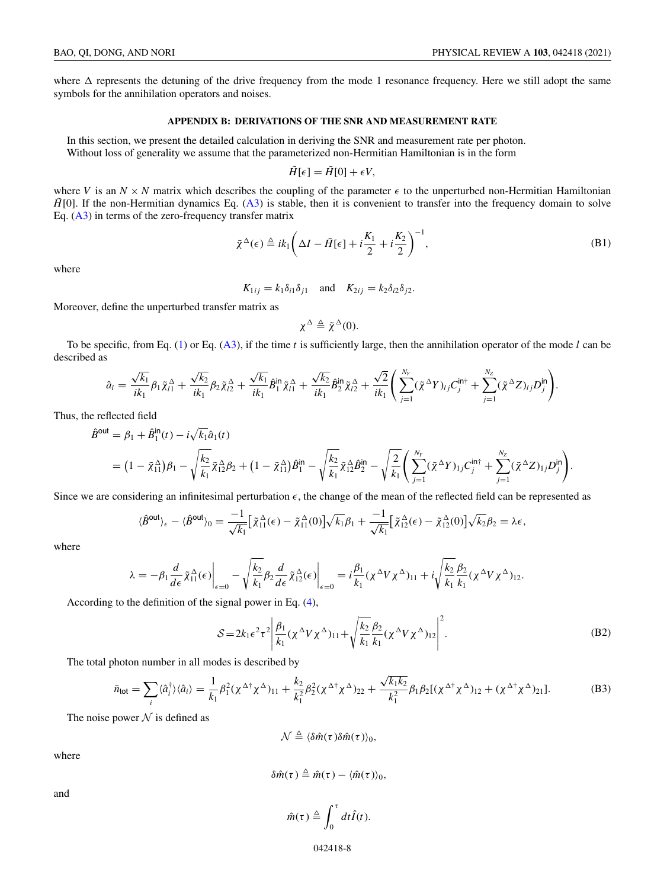<span id="page-7-0"></span>where  $\Delta$  represents the detuning of the drive frequency from the mode 1 resonance frequency. Here we still adopt the same symbols for the annihilation operators and noises.

### **APPENDIX B: DERIVATIONS OF THE SNR AND MEASUREMENT RATE**

In this section, we present the detailed calculation in deriving the SNR and measurement rate per photon. Without loss of generality we assume that the parameterized non-Hermitian Hamiltonian is in the form

$$
\tilde{H}[\epsilon] = \tilde{H}[0] + \epsilon V,
$$

where V is an  $N \times N$  matrix which describes the coupling of the parameter  $\epsilon$  to the unperturbed non-Hermitian Hamiltonian  $\hat{H}[0]$ . If the non-Hermitian dynamics Eq. [\(A3\)](#page-6-0) is stable, then it is convenient to transfer into the frequency domain to solve Eq.  $(A3)$  in terms of the zero-frequency transfer matrix

$$
\tilde{\chi}^{\Delta}(\epsilon) \triangleq ik_1 \left(\Delta I - \tilde{H}[\epsilon] + i\frac{K_1}{2} + i\frac{K_2}{2}\right)^{-1},\tag{B1}
$$

where

$$
K_{1ij} = k_1 \delta_{i1} \delta_{j1} \quad \text{and} \quad K_{2ij} = k_2 \delta_{i2} \delta_{j2}.
$$

Moreover, define the unperturbed transfer matrix as

$$
\chi^{\Delta} \triangleq \tilde{\chi}^{\Delta}(0).
$$

To be specific, from Eq. [\(1\)](#page-1-0) or Eq. [\(A3\)](#page-6-0), if the time *t* is sufficiently large, then the annihilation operator of the mode *l* can be described as

$$
\hat{a}_{l} = \frac{\sqrt{k_{1}}}{ik_{1}}\beta_{1}\tilde{\chi}_{l1}^{\Delta} + \frac{\sqrt{k_{2}}}{ik_{1}}\beta_{2}\tilde{\chi}_{l2}^{\Delta} + \frac{\sqrt{k_{1}}}{ik_{1}}\hat{B}_{1}^{\text{in}}\tilde{\chi}_{l1}^{\Delta} + \frac{\sqrt{k_{2}}}{ik_{1}}\hat{B}_{2}^{\text{in}}\tilde{\chi}_{l2}^{\Delta} + \frac{\sqrt{2}}{ik_{1}}\left(\sum_{j=1}^{N_{Y}}(\tilde{\chi}^{\Delta}Y)_{lj}C_{j}^{\text{in}\dagger} + \sum_{j=1}^{N_{Z}}(\tilde{\chi}^{\Delta}Z)_{lj}D_{j}^{\text{in}}\right).
$$

Thus, the reflected field

$$
\hat{B}^{\text{out}} = \beta_1 + \hat{B}_1^{\text{in}}(t) - i\sqrt{k_1}\hat{a}_1(t) \n= (1 - \tilde{\chi}_{11}^{\Delta})\beta_1 - \sqrt{\frac{k_2}{k_1}}\tilde{\chi}_{12}^{\Delta}\beta_2 + (1 - \tilde{\chi}_{11}^{\Delta})\hat{B}_1^{\text{in}} - \sqrt{\frac{k_2}{k_1}}\tilde{\chi}_{12}^{\Delta}\hat{B}_2^{\text{in}} - \sqrt{\frac{2}{k_1}}\left(\sum_{j=1}^{N_Y}(\tilde{\chi}^{\Delta}Y)_{1j}C_j^{\text{in}\dagger} + \sum_{j=1}^{N_Z}(\tilde{\chi}^{\Delta}Z)_{1j}D_j^{\text{in}}\right).
$$

Since we are considering an infinitesimal perturbation  $\epsilon$ , the change of the mean of the reflected field can be represented as

$$
\langle \hat{B}^{\text{out}} \rangle_{\epsilon} - \langle \hat{B}^{\text{out}} \rangle_{0} = \frac{-1}{\sqrt{k_{1}}} \Big[ \tilde{\chi}_{11}^{\Delta}(\epsilon) - \tilde{\chi}_{11}^{\Delta}(0) \Big] \sqrt{k_{1}} \beta_{1} + \frac{-1}{\sqrt{k_{1}}} \Big[ \tilde{\chi}_{12}^{\Delta}(\epsilon) - \tilde{\chi}_{12}^{\Delta}(0) \Big] \sqrt{k_{2}} \beta_{2} = \lambda \epsilon,
$$

where

$$
\lambda = -\beta_1 \frac{d}{d\epsilon} \tilde{\chi}_{11}^{\Delta}(\epsilon) \bigg|_{\epsilon=0} - \sqrt{\frac{k_2}{k_1}} \beta_2 \frac{d}{d\epsilon} \tilde{\chi}_{12}^{\Delta}(\epsilon) \bigg|_{\epsilon=0} = i \frac{\beta_1}{k_1} (\chi^{\Delta} V \chi^{\Delta})_{11} + i \sqrt{\frac{k_2}{k_1}} \frac{\beta_2}{k_1} (\chi^{\Delta} V \chi^{\Delta})_{12}.
$$

According to the definition of the signal power in Eq. [\(4\)](#page-2-0),

$$
S = 2k_1 \epsilon^2 \tau^2 \left| \frac{\beta_1}{k_1} (\chi^\Delta V \chi^\Delta)_{11} + \sqrt{\frac{k_2}{k_1}} \frac{\beta_2}{k_1} (\chi^\Delta V \chi^\Delta)_{12} \right|^2.
$$
 (B2)

The total photon number in all modes is described by

$$
\bar{n}_{\text{tot}} = \sum_{i} \langle \hat{a}_{i}^{\dagger} \rangle \langle \hat{a}_{i} \rangle = \frac{1}{k_{1}} \beta_{1}^{2} (\chi^{\Delta \dagger} \chi^{\Delta})_{11} + \frac{k_{2}}{k_{1}^{2}} \beta_{2}^{2} (\chi^{\Delta \dagger} \chi^{\Delta})_{22} + \frac{\sqrt{k_{1}k_{2}}}{k_{1}^{2}} \beta_{1} \beta_{2} [(\chi^{\Delta \dagger} \chi^{\Delta})_{12} + (\chi^{\Delta \dagger} \chi^{\Delta})_{21}]. \tag{B3}
$$

The noise power  $N$  is defined as

 $\mathcal{N} \triangleq \langle \delta \hat{m}(\tau) \delta \hat{m}(\tau) \rangle_0$ 

where

$$
\delta \hat{m}(\tau) \triangleq \hat{m}(\tau) - \langle \hat{m}(\tau) \rangle_0,
$$

and

$$
\hat{m}(\tau) \triangleq \int_0^{\tau} dt \hat{I}(t).
$$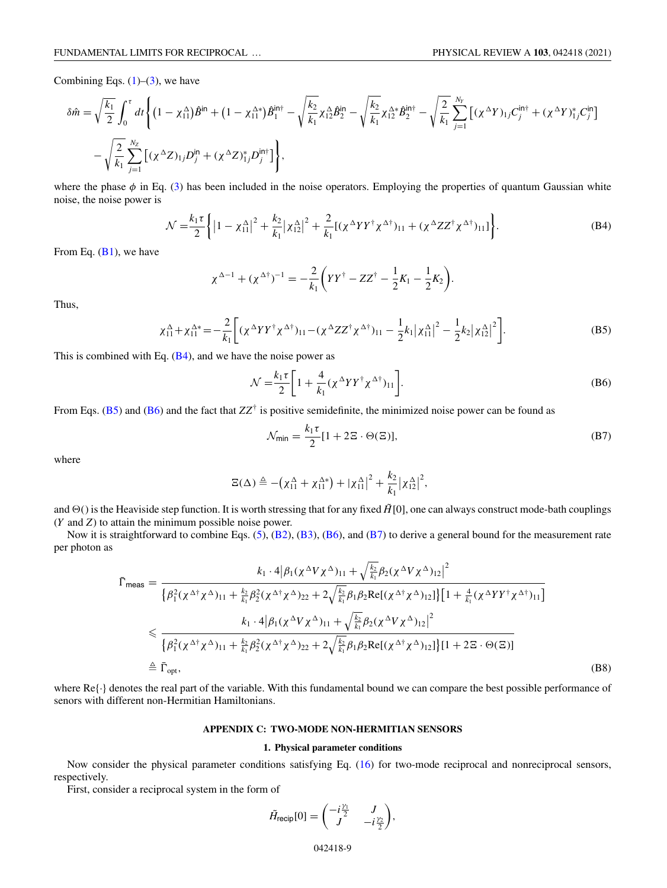<span id="page-8-0"></span>Combining Eqs.  $(1)$ – $(3)$ , we have

$$
\delta \hat{m} = \sqrt{\frac{k_1}{2}} \int_0^{\tau} dt \left\{ (1 - \chi_{11}^{\Delta}) \hat{B}^{\text{in}} + (1 - \chi_{11}^{\Delta*}) \hat{B}^{\text{in}\dagger} - \sqrt{\frac{k_2}{k_1}} \chi_{12}^{\Delta} \hat{B}_2^{\text{in}} - \sqrt{\frac{k_2}{k_1}} \chi_{12}^{\Delta*} \hat{B}_2^{\text{in}\dagger} - \sqrt{\frac{2}{k_1}} \sum_{j=1}^{N_Y} [(\chi^{\Delta} Y)_{1j} C_j^{\text{in}\dagger} + (\chi^{\Delta} Y)_{1j}^* C_j^{\text{in}}] \right\}.
$$

where the phase  $\phi$  in Eq. [\(3\)](#page-1-0) has been included in the noise operators. Employing the properties of quantum Gaussian white noise, the noise power is

$$
\mathcal{N} = \frac{k_1 \tau}{2} \left\{ \left| 1 - \chi_{11}^{\Delta} \right|^2 + \frac{k_2}{k_1} \left| \chi_{12}^{\Delta} \right|^2 + \frac{2}{k_1} \left[ (\chi^{\Delta} Y Y^{\dagger} \chi^{\Delta \dagger})_{11} + (\chi^{\Delta} Z Z^{\dagger} \chi^{\Delta \dagger})_{11} \right] \right\}.
$$
 (B4)

From Eq.  $(B1)$ , we have

$$
\chi^{\Delta-1} + (\chi^{\Delta\dagger})^{-1} = -\frac{2}{k_1} \left( Y Y^{\dagger} - Z Z^{\dagger} - \frac{1}{2} K_1 - \frac{1}{2} K_2 \right).
$$

Thus,

$$
\chi_{11}^{\Delta} + \chi_{11}^{\Delta*} = -\frac{2}{k_1} \bigg[ (\chi^{\Delta} Y Y^{\dagger} \chi^{\Delta \dagger})_{11} - (\chi^{\Delta} Z Z^{\dagger} \chi^{\Delta \dagger})_{11} - \frac{1}{2} k_1 |\chi_{11}^{\Delta}|^2 - \frac{1}{2} k_2 |\chi_{12}^{\Delta}|^2 \bigg]. \tag{B5}
$$

This is combined with Eq.  $(B4)$ , and we have the noise power as

$$
\mathcal{N} = \frac{k_1 \tau}{2} \left[ 1 + \frac{4}{k_1} (\chi^{\Delta} Y Y^{\dagger} \chi^{\Delta \dagger})_{11} \right].
$$
 (B6)

From Eqs. (B5) and (B6) and the fact that  $ZZ^{\dagger}$  is positive semidefinite, the minimized noise power can be found as

$$
\mathcal{N}_{\text{min}} = \frac{k_1 \tau}{2} [1 + 2\Xi \cdot \Theta(\Xi)],\tag{B7}
$$

where

$$
\Xi(\Delta) \triangleq -(\chi_{11}^{\Delta} + \chi_{11}^{\Delta*}) + |\chi_{11}^{\Delta}|^2 + \frac{k_2}{k_1} |\chi_{12}^{\Delta}|^2,
$$

and  $\Theta$ () is the Heaviside step function. It is worth stressing that for any fixed  $\tilde{H}[0]$ , one can always construct mode-bath couplings (*Y* and *Z*) to attain the minimum possible noise power.

Now it is straightforward to combine Eqs. [\(5\)](#page-2-0), [\(B2\)](#page-7-0), [\(B3\)](#page-7-0), (B6), and (B7) to derive a general bound for the measurement rate per photon as

$$
\bar{\Gamma}_{\text{meas}} = \frac{k_1 \cdot 4 \left| \beta_1 (\chi^{\Delta} V \chi^{\Delta})_{11} + \sqrt{\frac{k_2}{k_1}} \beta_2 (\chi^{\Delta} V \chi^{\Delta})_{12} \right|^2}{\left\{ \beta_1^2 (\chi^{\Delta \dagger} \chi^{\Delta})_{11} + \frac{k_2}{k_1} \beta_2^2 (\chi^{\Delta \dagger} \chi^{\Delta})_{22} + 2 \sqrt{\frac{k_2}{k_1}} \beta_1 \beta_2 \text{Re} [(\chi^{\Delta \dagger} \chi^{\Delta})_{12}] \right\} \left[ 1 + \frac{4}{k_1} (\chi^{\Delta} Y Y^{\dagger} \chi^{\Delta \dagger})_{11} \right]}
$$
\n
$$
\leq \frac{k_1 \cdot 4 \left| \beta_1 (\chi^{\Delta} V \chi^{\Delta})_{11} + \sqrt{\frac{k_2}{k_1}} \beta_2 (\chi^{\Delta} V \chi^{\Delta})_{12} \right|^2}{\left\{ \beta_1^2 (\chi^{\Delta \dagger} \chi^{\Delta})_{11} + \frac{k_2}{k_1} \beta_2^2 (\chi^{\Delta \dagger} \chi^{\Delta})_{22} + 2 \sqrt{\frac{k_2}{k_1}} \beta_1 \beta_2 \text{Re} [(\chi^{\Delta \dagger} \chi^{\Delta})_{12}] \right\} \left[ 1 + 2 \Xi \cdot \Theta(\Xi) \right]}
$$
\n
$$
\triangleq \bar{\Gamma}_{\text{opt}}, \tag{B8}
$$

where  $\text{Re}\{\cdot\}$  denotes the real part of the variable. With this fundamental bound we can compare the best possible performance of senors with different non-Hermitian Hamiltonians.

## **APPENDIX C: TWO-MODE NON-HERMITIAN SENSORS**

# **1. Physical parameter conditions**

Now consider the physical parameter conditions satisfying Eq. [\(16\)](#page-3-0) for two-mode reciprocal and nonreciprocal sensors, respectively.

First, consider a reciprocal system in the form of

$$
\tilde{H}_{\text{recip}}[0] = \begin{pmatrix} -i\frac{\gamma_1}{2} & J \\ J & -i\frac{\gamma_2}{2} \end{pmatrix},
$$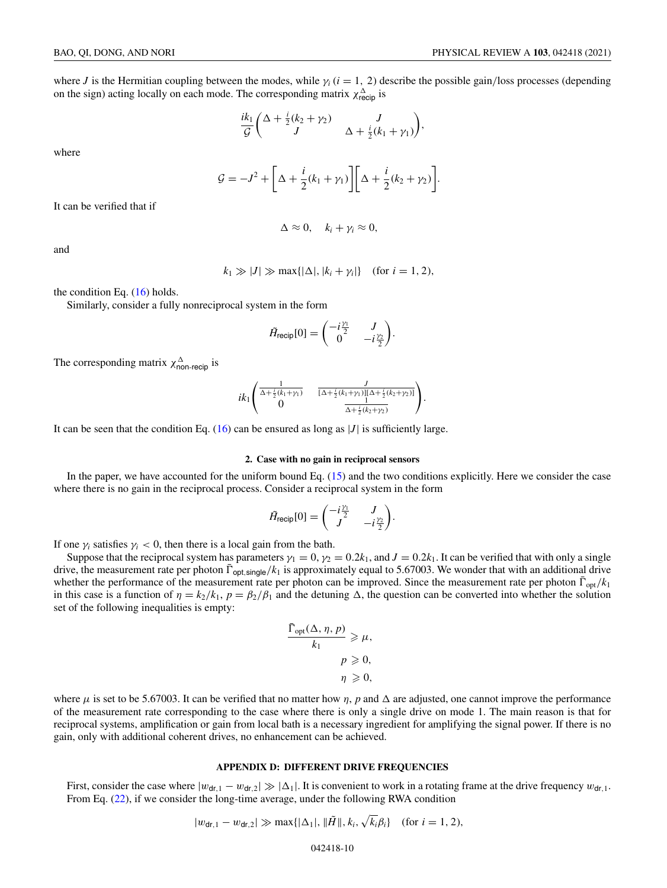<span id="page-9-0"></span>where *J* is the Hermitian coupling between the modes, while  $\gamma_i$  ( $i = 1, 2$ ) describe the possible gain/loss processes (depending on the sign) acting locally on each mode. The corresponding matrix  $\chi_{\text{recip}}^{\Delta}$  is

$$
\frac{ik_1}{\mathcal{G}}\left(\begin{array}{cc} \Delta + \frac{i}{2}(k_2 + \gamma_2) & J \\ J & \Delta + \frac{i}{2}(k_1 + \gamma_1) \end{array}\right),\end{array}
$$

where

$$
\mathcal{G} = -J^2 + \bigg[\Delta + \frac{i}{2}(k_1 + \gamma_1)\bigg]\bigg[\Delta + \frac{i}{2}(k_2 + \gamma_2)\bigg].
$$

It can be verified that if

$$
\Delta \approx 0, \quad k_i + \gamma_i \approx 0,
$$

and

$$
k_1 \gg |J| \gg \max\{|\Delta|, |k_i + \gamma_i|\} \quad \text{(for } i = 1, 2),
$$

the condition Eq.  $(16)$  holds.

Similarly, consider a fully nonreciprocal system in the form

$$
\tilde{H}_{\text{recip}}[0] = \begin{pmatrix} -i\frac{\gamma_1}{2} & J \\ 0 & -i\frac{\gamma_2}{2} \end{pmatrix}.
$$

The corresponding matrix  $\chi_{\text{non-recip}}^{\Delta}$  is

$$
ik_1\begin{pmatrix} \frac{1}{\Delta+\frac{i}{2}(k_1+\gamma_1)} & \frac{J}{[\Delta+\frac{i}{2}(k_1+\gamma_1)][\Delta+\frac{i}{2}(k_2+\gamma_2)]} \\ 0 & \frac{1}{\Delta+\frac{i}{2}(k_2+\gamma_2)} \end{pmatrix}.
$$

It can be seen that the condition Eq.  $(16)$  can be ensured as long as  $|J|$  is sufficiently large.

# **2. Case with no gain in reciprocal sensors**

In the paper, we have accounted for the uniform bound Eq. [\(15\)](#page-3-0) and the two conditions explicitly. Here we consider the case where there is no gain in the reciprocal process. Consider a reciprocal system in the form

$$
\tilde{H}_{\text{recip}}[0] = \begin{pmatrix} -i\frac{\gamma_1}{2} & J \\ J & -i\frac{\gamma_2}{2} \end{pmatrix}.
$$

If one  $\gamma_i$  satisfies  $\gamma_i$  < 0, then there is a local gain from the bath.

Suppose that the reciprocal system has parameters  $\gamma_1 = 0$ ,  $\gamma_2 = 0.2k_1$ , and  $J = 0.2k_1$ . It can be verified that with only a single drive, the measurement rate per photon  $\bar{\Gamma}_{opt, \text{single}}/k_1$  is approximately equal to 5.67003. We wonder that with an additional drive whether the performance of the measurement rate per photon can be improved. Since the measurement rate per photon  $\Gamma_{opt}/k_1$ in this case is a function of  $\eta = k_2/k_1$ ,  $p = \beta_2/\beta_1$  and the detuning  $\Delta$ , the question can be converted into whether the solution set of the following inequalities is empty:

$$
\frac{\bar{\Gamma}_{\text{opt}}(\Delta, \eta, p)}{k_1} \geq \mu,
$$
  

$$
p \geq 0,
$$
  

$$
\eta \geq 0,
$$

where  $\mu$  is set to be 5.67003. It can be verified that no matter how  $\eta$ ,  $p$  and  $\Delta$  are adjusted, one cannot improve the performance of the measurement rate corresponding to the case where there is only a single drive on mode 1. The main reason is that for reciprocal systems, amplification or gain from local bath is a necessary ingredient for amplifying the signal power. If there is no gain, only with additional coherent drives, no enhancement can be achieved.

## **APPENDIX D: DIFFERENT DRIVE FREQUENCIES**

First, consider the case where  $|w_{dr,1} - w_{dr,2}| \gg |\Delta_1|$ . It is convenient to work in a rotating frame at the drive frequency  $w_{dr,1}$ . From Eq. [\(22\)](#page-5-0), if we consider the long-time average, under the following RWA condition

$$
|w_{\text{dr},1} - w_{\text{dr},2}| \gg \max\{|\Delta_1|, \|\tilde{H}\|, k_i, \sqrt{k_i}\beta_i\}
$$
 (for  $i = 1, 2$ ),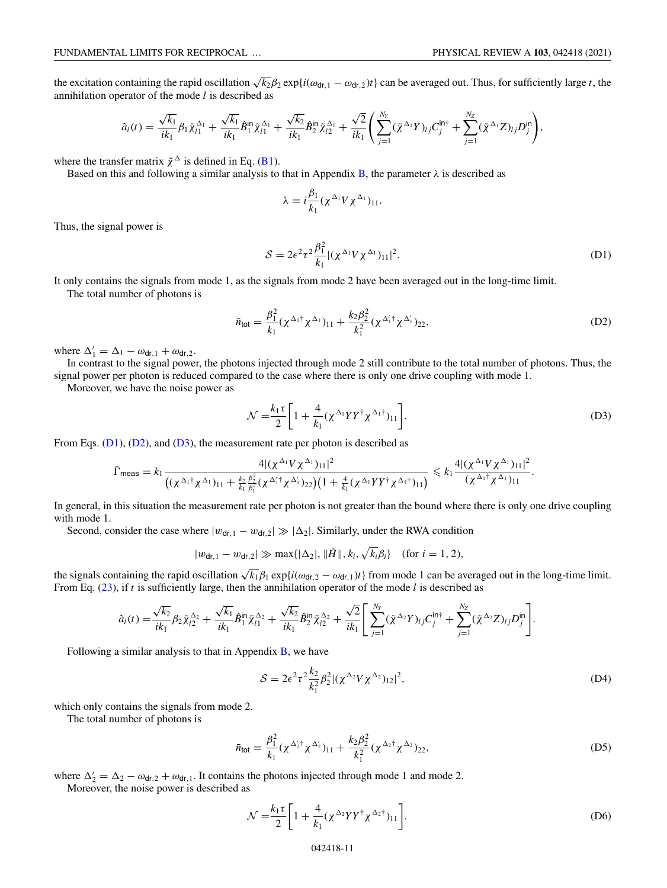<span id="page-10-0"></span>the excitation containing the rapid oscillation  $\sqrt{k_2\beta_2}$  exp{*i*( $\omega_{dr,1} - \omega_{dr,2}$ )*t*} can be averaged out. Thus, for sufficiently large *t*, the annihilation operator of the mode *l* is described as

$$
\hat{a}_l(t) = \frac{\sqrt{k_1}}{ik_1} \beta_1 \tilde{\chi}_{l1}^{\Delta_1} + \frac{\sqrt{k_1}}{ik_1} \hat{B}_1^{\text{in}} \tilde{\chi}_{l1}^{\Delta_1} + \frac{\sqrt{k_2}}{ik_1} \hat{B}_2^{\text{in}} \tilde{\chi}_{l2}^{\Delta_1} + \frac{\sqrt{2}}{ik_1} \left( \sum_{j=1}^{N_Y} (\tilde{\chi}^{\Delta_1} Y)_{lj} C_j^{\text{in}\dagger} + \sum_{j=1}^{N_Z} (\tilde{\chi}^{\Delta_1} Z)_{lj} D_j^{\text{in}} \right),
$$

where the transfer matrix  $\tilde{\chi}^{\Delta}$  is defined in Eq. [\(B1\)](#page-7-0).

Based on this and following a similar analysis to that in Appendix [B,](#page-7-0) the parameter  $\lambda$  is described as

$$
\lambda = i \frac{\beta_1}{k_1} (\chi^{\Delta_1} V \chi^{\Delta_1})_{11}.
$$

Thus, the signal power is

$$
S = 2\epsilon^2 \tau^2 \frac{\beta_1^2}{k_1} |(\chi^{\Delta_1} V \chi^{\Delta_1})_{11}|^2.
$$
 (D1)

It only contains the signals from mode 1, as the signals from mode 2 have been averaged out in the long-time limit.

The total number of photons is

$$
\bar{n}_{\text{tot}} = \frac{\beta_1^2}{k_1} (\chi^{\Delta_1 \dagger} \chi^{\Delta_1})_{11} + \frac{k_2 \beta_2^2}{k_1^2} (\chi^{\Delta_1' \dagger} \chi^{\Delta_1'})_{22},
$$
\n(D2)

where  $\Delta'_1 = \Delta_1 - \omega_{\text{dr},1} + \omega_{\text{dr},2}$ .

In contrast to the signal power, the photons injected through mode 2 still contribute to the total number of photons. Thus, the signal power per photon is reduced compared to the case where there is only one drive coupling with mode 1.

Moreover, we have the noise power as

$$
\mathcal{N} = \frac{k_1 \tau}{2} \left[ 1 + \frac{4}{k_1} (\chi^{\Delta_1} Y Y^{\dagger} \chi^{\Delta_1 \dagger})_{11} \right].
$$
 (D3)

From Eqs.  $(D1)$ ,  $(D2)$ , and  $(D3)$ , the measurement rate per photon is described as

$$
\bar{\Gamma}_{\text{meas}} = k_1 \frac{4|(\chi^{\Delta_1}V\chi^{\Delta_1})_{11}|^2}{((\chi^{\Delta_1\dagger}\chi^{\Delta_1})_{11} + \frac{k_2}{k_1} \frac{\beta_2^2}{\beta_1^2}(\chi^{\Delta_1\dagger}\chi^{\Delta_1})_{22})(1 + \frac{4}{k_1}(\chi^{\Delta_1}YY^{\dagger}\chi^{\Delta_1\dagger})_{11})} \leq k_1 \frac{4|(\chi^{\Delta_1}V\chi^{\Delta_1})_{11}|^2}{(\chi^{\Delta_1\dagger}\chi^{\Delta_1})_{11}}.
$$

In general, in this situation the measurement rate per photon is not greater than the bound where there is only one drive coupling with mode 1.

Second, consider the case where  $|w_{dr,1} - w_{dr,2}| \gg |\Delta_2|$ . Similarly, under the RWA condition

$$
|w_{\mathsf{dr},1} - w_{\mathsf{dr},2}| \gg \max\{|\Delta_2|, \|\tilde{H}\|, k_i, \sqrt{k_i}\beta_i\} \quad \text{(for } i = 1, 2\text{),}
$$

the signals containing the rapid oscillation  $\sqrt{k_1} \beta_1 \exp\{i(\omega_{dr,2} - \omega_{dr,1})t\}$  from mode 1 can be averaged out in the long-time limit. From Eq. [\(23\)](#page-5-0), if *t* is sufficiently large, then the annihilation operator of the mode *l* is described as

$$
\hat{a}_l(t) = \frac{\sqrt{k_2}}{ik_1} \beta_2 \tilde{\chi}_{l2}^{\Delta_2} + \frac{\sqrt{k_1}}{ik_1} \hat{B}_1^{\text{in}} \tilde{\chi}_{l1}^{\Delta_2} + \frac{\sqrt{k_2}}{ik_1} \hat{B}_2^{\text{in}} \tilde{\chi}_{l2}^{\Delta_2} + \frac{\sqrt{2}}{ik_1} \left[ \sum_{j=1}^{N_Y} (\tilde{\chi}^{\Delta_2} Y)_{lj} C_j^{\text{in} \dagger} + \sum_{j=1}^{N_Z} (\tilde{\chi}^{\Delta_2} Z)_{lj} D_j^{\text{in}} \right].
$$

Following a similar analysis to that in Appendix  $B$ , we have

$$
S = 2\epsilon^2 \tau^2 \frac{k_2}{k_1^2} \beta_2^2 |(\chi^{\Delta_2} V \chi^{\Delta_2})_{12}|^2,
$$
 (D4)

which only contains the signals from mode 2.

The total number of photons is

$$
\bar{n}_{\text{tot}} = \frac{\beta_1^2}{k_1} (\chi^{\Delta_2^{\prime} \dagger} \chi^{\Delta_2^{\prime}})_{11} + \frac{k_2 \beta_2^2}{k_1^2} (\chi^{\Delta_2 \dagger} \chi^{\Delta_2})_{22}, \tag{D5}
$$

where  $\Delta'_2 = \Delta_2 - \omega_{dr,2} + \omega_{dr,1}$ . It contains the photons injected through mode 1 and mode 2.

Moreover, the noise power is described as

$$
\mathcal{N} = \frac{k_1 \tau}{2} \left[ 1 + \frac{4}{k_1} (\chi^{\Delta_2} Y Y^{\dagger} \chi^{\Delta_2 \dagger})_{11} \right].
$$
 (D6)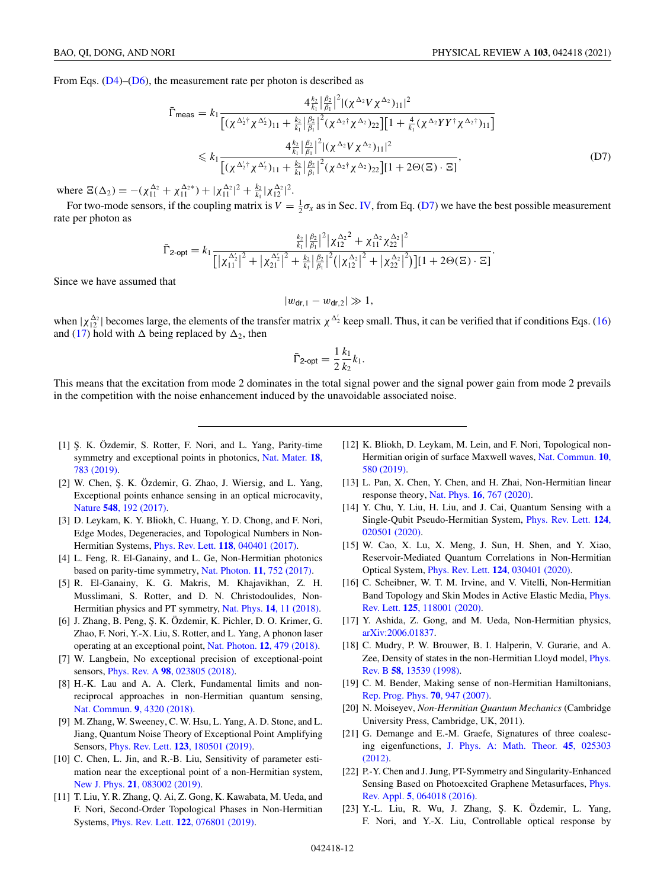<span id="page-11-0"></span>From Eqs. [\(D4\)](#page-10-0)–[\(D6\)](#page-10-0), the measurement rate per photon is described as

$$
\bar{\Gamma}_{\text{meas}} = k_1 \frac{4 \frac{k_2}{k_1} |\frac{\beta_2}{\beta_1}|^2 |(\chi^{\Delta_2} V \chi^{\Delta_2})_{11}|^2}{[(\chi^{\Delta_2^{\prime \dagger}} \chi^{\Delta_2^{\prime}})_{11} + \frac{k_2}{k_1} |\frac{\beta_2}{\beta_1}|^2 (\chi^{\Delta_2^{\dagger}} \chi^{\Delta_2})_{22}] \Big[ 1 + \frac{4}{k_1} (\chi^{\Delta_2} Y Y^{\dagger} \chi^{\Delta_2^{\dagger}})_{11} \Big]}
$$
  
\$\leq k\_1 \frac{4 \frac{k\_2}{k\_1} |\frac{\beta\_2}{\beta\_1}|^2 |(\chi^{\Delta\_2} V \chi^{\Delta\_2})\_{11}|^2}{[(\chi^{\Delta\_2^{\prime \dagger}} \chi^{\Delta\_2^{\prime}})\_{11} + \frac{k\_2}{k\_1} |\frac{\beta\_2}{\beta\_1}|^2 (\chi^{\Delta\_2^{\dagger}} \chi^{\Delta\_2})\_{22}\Big] [1 + 2\Theta(\Xi) \cdot \Xi]}, \qquad (D7)\$

where  $\Xi(\Delta_2) = -(\chi_{11}^{\Delta_2} + \chi_{11}^{\Delta_2}) + |\chi_{11}^{\Delta_2}|^2 + \frac{k_2}{k_1} |\chi_{12}^{\Delta_2}|^2$ .

For two-mode sensors, if the coupling matrix is  $V = \frac{1}{2}\sigma_x$  as in Sec. [IV,](#page-3-0) from Eq. (D7) we have the best possible measurement rate per photon as

$$
\bar{\Gamma}_{2\text{-opt}} = k_1 \frac{\frac{k_2}{k_1} |\frac{\beta_2}{\beta_1}|^2 |\chi_{12}^{\Delta_2}|^2 + \chi_{11}^{\Delta_2} \chi_{22}^{\Delta_2}|^2}{\left[ |\chi_{11}^{\Delta_2'}|^2 + |\chi_{21}^{\Delta_2'}|^2 + \frac{k_2}{k_1} |\frac{\beta_2}{\beta_1}|^2 (|\chi_{12}^{\Delta_2}|^2 + |\chi_{22}^{\Delta_2}|^2) \right] \left[ 1 + 2\Theta(\Xi) \cdot \Xi \right]}.
$$

Since we have assumed that

$$
|w_{\mathrm{dr},1}-w_{\mathrm{dr},2}|\gg 1,
$$

when  $|\chi_{12}^{\Delta_2}|$  becomes large, the elements of the transfer matrix  $\chi_{\Delta_2}$  keep small. Thus, it can be verified that if conditions Eqs. [\(16\)](#page-3-0) and [\(17\)](#page-3-0) hold with  $\Delta$  being replaced by  $\Delta_2$ , then

$$
\bar{\Gamma}_{2\text{-opt}} = \frac{1}{2} \frac{k_1}{k_2} k_1.
$$

This means that the excitation from mode 2 dominates in the total signal power and the signal power gain from mode 2 prevails in the competition with the noise enhancement induced by the unavoidable associated noise.

- [1] Ş. K. Özdemir, S. Rotter, F. Nori, and L. Yang, Parity-time [symmetry and exceptional points in photonics,](https://doi.org/10.1038/s41563-019-0304-9) Nat. Mater. **18**, 783 (2019).
- [2] W. Chen, Ş. K. Özdemir, G. Zhao, J. Wiersig, and L. Yang, Exceptional points enhance sensing in an optical microcavity, Nature **548**[, 192 \(2017\).](https://doi.org/10.1038/nature23281)
- [3] D. Leykam, K. Y. Bliokh, C. Huang, Y. D. Chong, and F. Nori, Edge Modes, Degeneracies, and Topological Numbers in Non-Hermitian Systems, Phys. Rev. Lett. **118**[, 040401 \(2017\).](https://doi.org/10.1103/PhysRevLett.118.040401)
- [4] L. Feng, R. El-Ganainy, and L. Ge, Non-Hermitian photonics based on parity-time symmetry, [Nat. Photon.](https://doi.org/10.1038/s41566-017-0031-1) **11**, 752 (2017).
- [5] R. El-Ganainy, K. G. Makris, M. Khajavikhan, Z. H. Musslimani, S. Rotter, and D. N. Christodoulides, Non-Hermitian physics and PT symmetry, Nat. Phys. **14**[, 11 \(2018\).](https://doi.org/10.1038/nphys4323)
- [6] J. Zhang, B. Peng, Ş. K. Özdemir, K. Pichler, D. O. Krimer, G. Zhao, F. Nori, Y.-X. Liu, S. Rotter, and L. Yang, A phonon laser operating at an exceptional point, Nat. Photon. **12**[, 479 \(2018\).](https://doi.org/10.1038/s41566-018-0213-5)
- [7] W. Langbein, No exceptional precision of exceptional-point sensors, Phys. Rev. A **98**[, 023805 \(2018\).](https://doi.org/10.1103/PhysRevA.98.023805)
- [8] H.-K. Lau and A. A. Clerk, Fundamental limits and nonreciprocal approaches in non-Hermitian quantum sensing, [Nat. Commun.](https://doi.org/10.1038/s41467-018-06477-7) **9**, 4320 (2018).
- [9] M. Zhang, W. Sweeney, C. W. Hsu, L. Yang, A. D. Stone, and L. Jiang, Quantum Noise Theory of Exceptional Point Amplifying Sensors, Phys. Rev. Lett. **123**[, 180501 \(2019\).](https://doi.org/10.1103/PhysRevLett.123.180501)
- [10] C. Chen, L. Jin, and R.-B. Liu, Sensitivity of parameter estimation near the exceptional point of a non-Hermitian system, New J. Phys. **21**[, 083002 \(2019\).](https://doi.org/10.1088/1367-2630/ab32ab)
- [11] T. Liu, Y. R. Zhang, Q. Ai, Z. Gong, K. Kawabata, M. Ueda, and F. Nori, Second-Order Topological Phases in Non-Hermitian Systems, Phys. Rev. Lett. **122**[, 076801 \(2019\).](https://doi.org/10.1103/PhysRevLett.122.076801)
- [12] K. Bliokh, D. Leykam, M. Lein, and F. Nori, Topological non-[Hermitian origin of surface Maxwell waves,](https://doi.org/10.1038/s41467-019-08397-6) Nat. Commun. **10**, 580 (2019).
- [13] L. Pan, X. Chen, Y. Chen, and H. Zhai, Non-Hermitian linear response theory, Nat. Phys. **16**[, 767 \(2020\).](https://doi.org/10.1038/s41567-020-0889-6)
- [14] Y. Chu, Y. Liu, H. Liu, and J. Cai, Quantum Sensing with a [Single-Qubit Pseudo-Hermitian System,](https://doi.org/10.1103/PhysRevLett.124.020501) Phys. Rev. Lett. **124**, 020501 (2020).
- [15] W. Cao, X. Lu, X. Meng, J. Sun, H. Shen, and Y. Xiao, Reservoir-Mediated Quantum Correlations in Non-Hermitian Optical System, Phys. Rev. Lett. **124**[, 030401 \(2020\).](https://doi.org/10.1103/PhysRevLett.124.030401)
- [16] C. Scheibner, W. T. M. Irvine, and V. Vitelli, Non-Hermitian [Band Topology and Skin Modes in Active Elastic Media,](https://doi.org/10.1103/PhysRevLett.125.118001) Phys. Rev. Lett. **125**, 118001 (2020).
- [17] Y. Ashida, Z. Gong, and M. Ueda, Non-Hermitian physics, [arXiv:2006.01837.](http://arxiv.org/abs/arXiv:2006.01837)
- [18] C. Mudry, P. W. Brouwer, B. I. Halperin, V. Gurarie, and A. [Zee, Density of states in the non-Hermitian Lloyd model,](https://doi.org/10.1103/PhysRevB.58.13539) Phys. Rev. B **58**, 13539 (1998).
- [19] C. M. Bender, Making sense of non-Hermitian Hamiltonians, [Rep. Prog. Phys.](https://doi.org/10.1088/0034-4885/70/6/R03) **70**, 947 (2007).
- [20] N. Moiseyev, *Non-Hermitian Quantum Mechanics* (Cambridge University Press, Cambridge, UK, 2011).
- [21] G. Demange and E.-M. Graefe, Signatures of three coalescing eigenfunctions, [J. Phys. A: Math. Theor.](https://doi.org/10.1088/1751-8113/45/2/025303) **45**, 025303 (2012).
- [22] P.-Y. Chen and J. Jung, PT-Symmetry and Singularity-Enhanced [Sensing Based on Photoexcited Graphene Metasurfaces,](https://doi.org/10.1103/PhysRevApplied.5.064018) Phys. Rev. Appl. **5**, 064018 (2016).
- [23] Y.-L. Liu, R. Wu, J. Zhang, Ş. K. Özdemir, L. Yang, F. Nori, and Y.-X. Liu, Controllable optical response by